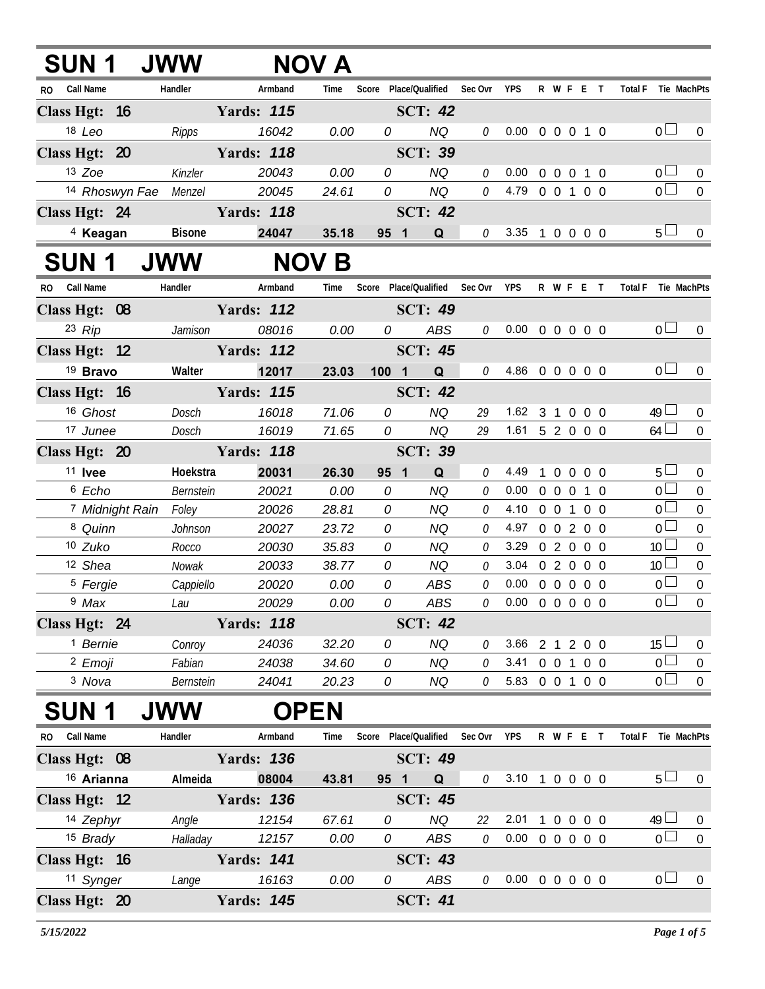| SUN 1 JWW                  |                       |                             | <b>NOV A</b> |                                   |                |         |                            |                |                   |           |                               |                  |
|----------------------------|-----------------------|-----------------------------|--------------|-----------------------------------|----------------|---------|----------------------------|----------------|-------------------|-----------|-------------------------------|------------------|
| RO Call Name               | Handler               | Armband                     | Time         | Score Place/Qualified Sec Ovr YPS |                |         |                            |                |                   |           | R W F E T Total F Tie MachPts |                  |
| Class Hgt: 16              |                       | <b>Yards: 115</b>           |              |                                   | <b>SCT: 42</b> |         |                            |                |                   |           |                               |                  |
| 18 Leo                     | Ripps                 | 16042                       | 0.00         | 0                                 | <b>NQ</b>      | 0       | $0.00 \t0 \t0 \t0 \t1 \t0$ |                |                   |           | 0 <sub>0</sub>                | $\mathbf 0$      |
| Class Hgt: 20              |                       | <b>Yards: 118</b>           |              |                                   | <b>SCT: 39</b> |         |                            |                |                   |           |                               |                  |
| 13 Zoe                     | Kinzler               | 20043                       | 0.00         | 0                                 | <b>NQ</b>      | 0       | 0.00                       |                | $0\quad 0\quad 0$ | $1\quad0$ | 0 <sub>0</sub>                | 0                |
|                            | 14 Rhoswyn Fae Menzel | 20045                       | 24.61        | 0                                 | <b>NQ</b>      | 0       | 4.79 0 0 1 0 0             |                |                   |           | $\overline{0}$                | $\mathbf 0$      |
| Class Hgt: 24              |                       | <b>Example 3</b> Yards: 118 |              |                                   | <b>SCT: 42</b> |         |                            |                |                   |           |                               |                  |
| <sup>4</sup> Keagan        | <b>Bisone</b>         | 24047                       | 35.18        | 95 1                              | Q              |         | $0$ 3.35 1 0 0 0 0         |                |                   |           | $5\perp$                      | $\overline{0}$   |
| <b>SUN1</b>                | <b>JWW</b>            |                             | <b>NOV B</b> |                                   |                |         |                            |                |                   |           |                               |                  |
| RO Call Name               | Handler               | Armband                     | Time         | Score Place/Qualified Sec Ovr     |                |         | YPS                        |                | R W F E T         |           | <b>Total F</b>                | Tie MachPts      |
| Class Hgt: 08              |                       | <b>Yards: 112</b>           |              |                                   | <b>SCT: 49</b> |         |                            |                |                   |           |                               |                  |
| $23$ Rip                   | Jamison               | 08016                       | 0.00         | $\overline{O}$                    | ABS            | 0       | $0.00 \t0 \t0 \t0 \t0 \t0$ |                |                   |           | 0 <sub>0</sub>                | $\boldsymbol{0}$ |
| Class Hgt: 12              |                       | <b>Yards: 112</b>           |              |                                   | <b>SCT: 45</b> |         |                            |                |                   |           |                               |                  |
| <sup>19</sup> Bravo        | Walter                | 12017                       | 23.03        | 100 1                             | Q              |         | $0$ 4.86 0 0 0 0 0         |                |                   |           | 0 <sub>0</sub>                | $\boldsymbol{0}$ |
| Class Hgt: 16              |                       | <b>Yards: 115</b>           |              |                                   | <b>SCT: 42</b> |         |                            |                |                   |           |                               |                  |
| 16 Ghost                   | Dosch                 | 16018                       | 71.06        | 0                                 | <b>NQ</b>      | 29      | 1.62 3 1 0 0 0             |                |                   |           | $49 \Box$                     | $\overline{0}$   |
| 17 Junee                   | Dosch                 | 16019                       | 71.65        | 0                                 | <b>NQ</b>      | 29      | $1.61$ 5 2 0 0 0           |                |                   |           | 64                            | $\mathbf 0$      |
| Class Hgt: 20              |                       | <b>Yards: 118</b>           |              |                                   | <b>SCT: 39</b> |         |                            |                |                   |           |                               |                  |
| <sup>11</sup> Ivee         | Hoekstra              | 20031                       | 26.30        | 95 1                              | Q              | 0       | 4.49                       | $\overline{1}$ | 0 0 0 0           |           | 5 <sub>1</sub>                | $\boldsymbol{0}$ |
| 6 Echo                     | Bernstein             | 20021                       | 0.00         | 0                                 | <b>NQ</b>      | 0       | 0.00                       | 0 0 0 1 0      |                   |           | $\overline{0}$                | $\mathbf 0$      |
| <sup>7</sup> Midnight Rain | Foley                 | 20026                       | 28.81        | 0                                 | <b>NQ</b>      | 0       | 4.10 0 0 1 0 0             |                |                   |           | $\overline{0}$                | $\mathbf 0$      |
| 8 Quinn                    | Johnson               | 20027                       | 23.72        | 0                                 | NQ             | 0       | 4.97 0 0 2 0 0             |                |                   |           | $\overline{0}$                | $\mathbf 0$      |
| 10 Zuko                    | Rocco                 | 20030                       | 35.83        | 0                                 | <b>NQ</b>      | 0       | 3.29 0 2 0 0 0             |                |                   |           | 10 <sup>1</sup>               | $\mathbf 0$      |
| 12 Shea                    | Nowak                 | 20033                       | 38.77        | 0                                 | <b>NQ</b>      | 0       | 3.04                       |                | 0 2 0 0 0         |           | 10 <sup>1</sup>               | $\boldsymbol{0}$ |
| <sup>5</sup> Fergie        | Cappiello             | 20020                       | 0.00         | 0                                 | ABS            | 0       | 0.00                       |                | 0 0 0 0 0         |           | $\overline{0}$                | $\boldsymbol{0}$ |
| <sup>9</sup> Max           | Lau                   | 20029                       | 0.00         | 0                                 | ABS            | 0       | $0.00 \t0 \t0 \t0 \t0 \t0$ |                |                   |           | 0 <sub>0</sub>                | $\overline{0}$   |
| Class Hgt: 24              |                       | <b>Yards: 118</b>           |              |                                   | <b>SCT: 42</b> |         |                            |                |                   |           |                               |                  |
| <sup>1</sup> Bernie        | Conroy                | 24036                       | 32.20        | 0                                 | <b>NQ</b>      | 0       | 3.66 2 1 2 0 0             |                |                   |           | $15\Box$                      | $\boldsymbol{0}$ |
| <sup>2</sup> Emoji         | Fabian                | 24038                       | 34.60        | 0                                 | NQ             | 0       | 3.41 0 0 1 0 0             |                |                   |           | $\overline{0}$                | $\pmb{0}$        |
| 3 Nova                     | Bernstein             | 24041                       | 20.23        | 0                                 | NQ             | 0       | 5.83 0 0 1 0 0             |                |                   |           | $\overline{0}$                | $\overline{0}$   |
| SUN 1                      | <b>JWW</b>            | <b>OPEN</b>                 |              |                                   |                |         |                            |                |                   |           |                               |                  |
| Call Name<br>RO.           | Handler               | Armband                     | Time         | Score Place/Qualified             |                | Sec Ovr | <b>YPS</b>                 |                | R W F E T         |           | <b>Total F</b>                | Tie MachPts      |
| Class Hgt: 08              |                       | <b>Yards: 136</b>           |              |                                   | <b>SCT: 49</b> |         |                            |                |                   |           |                               |                  |
| 16 Arianna                 | Almeida               | 08004                       | 43.81        | 95 1                              | <b>Q</b>       | 0       | 3.10 1 0 0 0 0             |                |                   |           | 5 <sub>1</sub>                | $\overline{0}$   |
| Class Hgt: 12              |                       | <b>Yards: 136</b>           |              |                                   | <b>SCT: 45</b> |         |                            |                |                   |           |                               |                  |
| 14 Zephyr                  | Angle                 | 12154                       | 67.61        | 0                                 | <b>NQ</b>      | 22      | 2.01                       | 1 0 0 0 0      |                   |           | $49 \Box$                     | $\overline{0}$   |
| 15 Brady                   | Halladay              | 12157                       | 0.00         | 0                                 | ABS            | 0       | $0.00 \t0 \t0 \t0 \t0 \t0$ |                |                   |           | $\overline{0}$                | $\boldsymbol{0}$ |
| Class Hgt: 16              |                       | <b>Yards: 141</b>           |              |                                   | <b>SCT: 43</b> |         |                            |                |                   |           |                               |                  |
| <sup>11</sup> Synger       | Lange                 | 16163                       | 0.00         | 0                                 | ABS            | 0       | $0.00 \t0 \t0 \t0 \t0 \t0$ |                |                   |           | 0 <sub>0</sub>                | $\overline{0}$   |
| Class Hgt: 20              |                       | <b>Yards: 145</b>           |              |                                   | <b>SCT: 41</b> |         |                            |                |                   |           |                               |                  |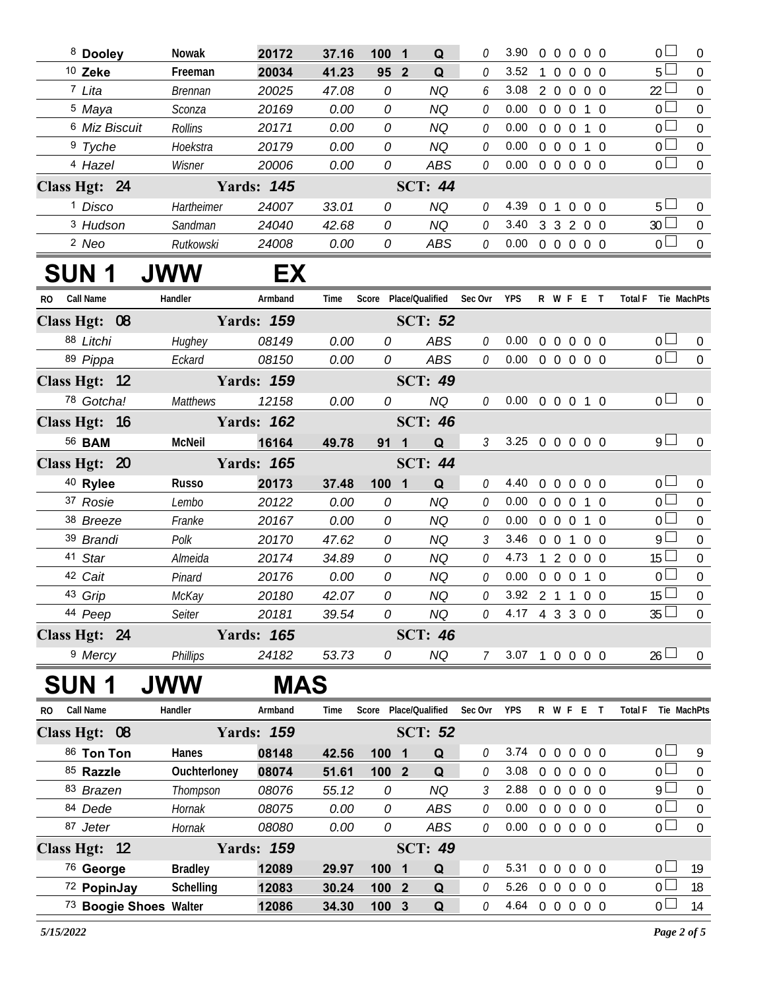| <sup>8</sup> Dooley      | <b>Nowak</b> | 20172             | 37.16 | 1001            | $\Omega$       | O | 3.90 | $\Omega$      | $\Omega$         | $\Omega$         | $0\quad 0$     |            | $\overline{0}$ $\overline{1}$ | $\Omega$ |
|--------------------------|--------------|-------------------|-------|-----------------|----------------|---|------|---------------|------------------|------------------|----------------|------------|-------------------------------|----------|
| $10$ Zeke                | Freeman      | 20034             | 41.23 | 95 <sub>2</sub> | Q              | O | 3.52 |               |                  | $\Omega$         | 0 <sub>0</sub> |            | $5 -$                         | $\Omega$ |
| 7 Lita                   | Brennan      | 20025             | 47.08 | 0               | ΝQ             | 6 | 3.08 | $\mathcal{P}$ | $\Omega$         | $\Omega$         | $0\quad 0$     |            | 22 <sup>L</sup>               | $\Omega$ |
| <sup>5</sup> Maya        | Sconza       | 20169             | 0.00  | 0               | ΝQ             | 0 | 0.00 | $\Omega$      | $\left( \right)$ | $\left( \right)$ | 1 0            |            | $\overline{0}$ $\overline{1}$ | $\Omega$ |
| <sup>6</sup> Miz Biscuit | Rollins      | 20171             | 0.00  | 0               | ΝQ             | 0 | 0.00 | $\Omega$      | $\Omega$         | $\Omega$         |                | 1 0        | $\overline{0}$ $\overline{1}$ | $\Omega$ |
| <sup>9</sup> Tyche       | Hoekstra     | 20179             | 0.00  | 0               | ΝQ             | 0 | 0.00 | $\Omega$      | $\Omega$         | $\cup$           |                | $1 \Omega$ | $\Omega$                      | $\Omega$ |
| 4 Hazel                  | Wisner       | 20006             | 0.00  | 0               | ABS            | 0 | 0.00 | $\Omega$      | $\Omega$         | $\Omega$         | 0 <sub>0</sub> |            | 0 <sub>l</sub>                | $\Omega$ |
| Class Hgt: 24            |              | <b>Yards: 145</b> |       |                 | <b>SCT: 44</b> |   |      |               |                  |                  |                |            |                               |          |
| <sup>1</sup> Disco       | Hartheimer   | 24007             | 33.01 | 0               | ΝQ             | 0 | 4.39 | $\Omega$      |                  | $\Omega$         | 0 <sub>0</sub> |            | $5 -$                         | $\Omega$ |
| 3 Hudson                 | Sandman      | 24040             | 42.68 | 0               | ΝQ             | 0 | 3.40 | 3             | 3                | $\mathcal{L}$    | 0 <sub>0</sub> |            | 30 <sup>2</sup>               | $\Omega$ |
| 2 Neo                    | Rutkowski    | 24008             | 0.00  | 0               | ABS            | 0 | 0.00 | $\Omega$      | $\Omega$         | $\Omega$         | 0 <sub>0</sub> |            | $\Omega$ $\Box$               | $\Omega$ |
|                          |              |                   |       |                 |                |   |      |               |                  |                  |                |            |                               |          |

## **SUN 1 JWW EX**

| R <sub>O</sub> | <b>Call Name</b>    | Handler         | Armband           | Time  | Score            | Place/Qualified              | Sec Ovr                     | <b>YPS</b> |                | R W F        | -F             |                          | <b>Total F</b> | Tie MachPts     |                  |
|----------------|---------------------|-----------------|-------------------|-------|------------------|------------------------------|-----------------------------|------------|----------------|--------------|----------------|--------------------------|----------------|-----------------|------------------|
|                | Class Hgt: 08       |                 | <b>Yards: 159</b> |       |                  |                              |                             |            |                |              |                |                          |                |                 |                  |
|                | 88 Litchi           | Hughey          | 08149             | 0.00  | 0                | ABS                          | 0                           | 0.00       | $\overline{0}$ | $\Omega$     | $\Omega$       | 0 <sub>0</sub>           |                | 0 <sub>0</sub>  | $\Omega$         |
|                | 89 Pippa            | Eckard          | 08150             | 0.00  | 0                | ABS                          | 0                           | 0.00       | $\overline{0}$ |              |                | $0\quad 0\quad 0\quad 0$ |                | 0 <sub>0</sub>  | $\overline{0}$   |
| Class Hgt: 12  |                     |                 | <b>Yards: 159</b> |       |                  | <b>SCT: 49</b>               |                             |            |                |              |                |                          |                |                 |                  |
|                | 78 Gotcha!          | <b>Matthews</b> | 12158             | 0.00  | 0                | <b>NQ</b>                    | 0                           | 0.00       | $\overline{0}$ | $\Omega$     |                | $0 \quad 1 \quad 0$      |                | 0 <sub>1</sub>  | $\overline{0}$   |
|                | Class Hgt: 16       |                 | <b>Yards: 162</b> |       |                  | <b>SCT: 46</b>               |                             |            |                |              |                |                          |                |                 |                  |
|                | 56 <b>BAM</b>       | <b>McNeil</b>   | 16164             | 49.78 | 91               | Q<br>$\mathbf 1$             | $\mathcal{S}_{\mathcal{S}}$ | 3.25       | $0\quad 0$     |              |                | $0\quad 0\quad 0$        |                | $9+$            | $\Omega$         |
|                | Class Hgt: 20       |                 | <b>Yards: 165</b> |       |                  | <b>SCT: 44</b>               |                             |            |                |              |                |                          |                |                 |                  |
|                | <sup>40</sup> Rylee | Russo           | 20173             | 37.48 | 100 <sub>1</sub> | Q<br>$\overline{\mathbf{1}}$ | 0                           | 4.40       | $\mathbf{0}$   | $\theta$     | $\Omega$       | $0\quad 0$               |                | 0 <sub>0</sub>  | $\overline{0}$   |
|                | 37 Rosie            | Lembo           | 20122             | 0.00  | 0                | NQ                           | 0                           | 0.00       | $\Omega$       | $\Omega$     |                | $0 \quad 1 \quad 0$      |                | 0 <sub>l</sub>  | $\Omega$         |
|                | 38 Breeze           | Franke          | 20167             | 0.00  | 0                | NQ                           | 0                           | 0.00       | $\overline{0}$ | $\mathbf{0}$ | $\Omega$       | $1\quad$ $\Omega$        |                | 0 <sub>l</sub>  | $\boldsymbol{0}$ |
|                | 39 Brandi           | Polk            | 20170             | 47.62 | 0                | NQ                           | 3                           | 3.46       | $\Omega$       | $\cup$       |                | 0 O                      |                | $9+$            | $\Omega$         |
|                | 41 Star             | Almeida         | 20174             | 34.89 | 0                | NQ                           | 0                           | 4.73       |                | 2            | $\Omega$       | 0 <sub>0</sub>           |                | 15 <sup>1</sup> | $\Omega$         |
|                | 42 Cait             | Pinard          | 20176             | 0.00  | 0                | NQ                           | 0                           | 0.00       | <sup>0</sup>   | $\Omega$     |                | $\Omega$                 |                | $\Omega$ $\Box$ | $\Omega$         |
|                | 43 Grip             | McKay           | 20180             | 42.07 | 0                | NQ                           | 0                           | 3.92       | $\mathcal{P}$  |              |                | 0 O                      |                | 15 <sup>1</sup> | $\Omega$         |
|                | 44 Peep             | Seiter          | 20181             | 39.54 | 0                | NQ                           | 0                           | 4.17       | 4 3            |              |                | 3 0 0                    |                | $35\Box$        | $\theta$         |
|                | Class Hgt: 24       |                 | <b>Yards: 165</b> |       |                  | <b>SCT: 46</b>               |                             |            |                |              |                |                          |                |                 |                  |
|                | <sup>9</sup> Mercy  | Phillips        | 24182             | 53.73 | 0                | NQ                           |                             | 3.07       |                | $\Omega$     | $\overline{0}$ | $0\quad 0$               |                | $26 \Box$       | $\Omega$         |

## **SUN 1 JWW MAS**

| <b>Call Name</b><br>R <sub>0</sub> | Handler        | Armband           | Time  | Score            |                         | Place/Oualified | Sec Ovr  | <b>YPS</b> | R        | W F              |          |                   | Total F |                | Tie MachPts |
|------------------------------------|----------------|-------------------|-------|------------------|-------------------------|-----------------|----------|------------|----------|------------------|----------|-------------------|---------|----------------|-------------|
| Class Hgt: 08                      |                | <b>Yards: 159</b> |       |                  |                         | <b>SCT: 52</b>  |          |            |          |                  |          |                   |         |                |             |
| 86 Ton Ton                         | Hanes          | 08148             | 42.56 | 100              | - 1                     | Q               | 0        | 3.74       | $\Omega$ | $\Omega$         | $\Omega$ | 0 O               |         | 0 <sub>l</sub> | Q           |
| 85 Razzle                          | Ouchterloney   | 08074             | 51.61 | 100 <sub>1</sub> | $\overline{\mathbf{2}}$ | Q               | 0        | 3.08       | 0        | $\cup$           | $\Omega$ | 00                |         | 0 <sup>1</sup> | $\Omega$    |
| 83 Brazen                          | Thompson       | 08076             | 55.12 | 0                |                         | NQ              | 3        | 2.88       | 0        | $\left( \right)$ | $\Omega$ | 0 O               |         | $9 \Box$       | $\Omega$    |
| 84 Dede                            | Hornak         | 08075             | 0.00  | 0                |                         | ABS             | 0        | 0.00       | 0        | $\Omega$         | $\Omega$ | 0 O               |         | $\cap$ $\Box$  | $\Omega$    |
| 87 Jeter                           | Hornak         | 08080             | 0.00  | 0                |                         | ABS             | 0        | 0.00       | $\Omega$ | $\left( \right)$ |          | $0\quad 0\quad 0$ |         |                | $\Omega$    |
| Class Hgt: 12                      |                | <b>Yards: 159</b> |       |                  |                         | <b>SCT: 49</b>  |          |            |          |                  |          |                   |         |                |             |
| <sup>76</sup> George               | <b>Bradley</b> | 12089             | 29.97 | 100              | - 1                     | Q               | $\theta$ | 5.31       | $\Omega$ | $\Omega$         | $\Omega$ | 0 <sub>0</sub>    |         | $\cap$ $\Box$  | 19          |
| 72 PopinJay                        | Schelling      | 12083             | 30.24 |                  | 1002                    | $\Omega$        |          | 5.26       | $\cup$   | $\Omega$         | $\Omega$ | 0 O               |         | U.             | 18          |
| 73 Boogie Shoes Walter             |                | 12086             | 34.30 |                  | 1003                    | Q               |          | 4.64       | 0        | $\Omega$         | $\Omega$ | 0 O               |         |                | 14          |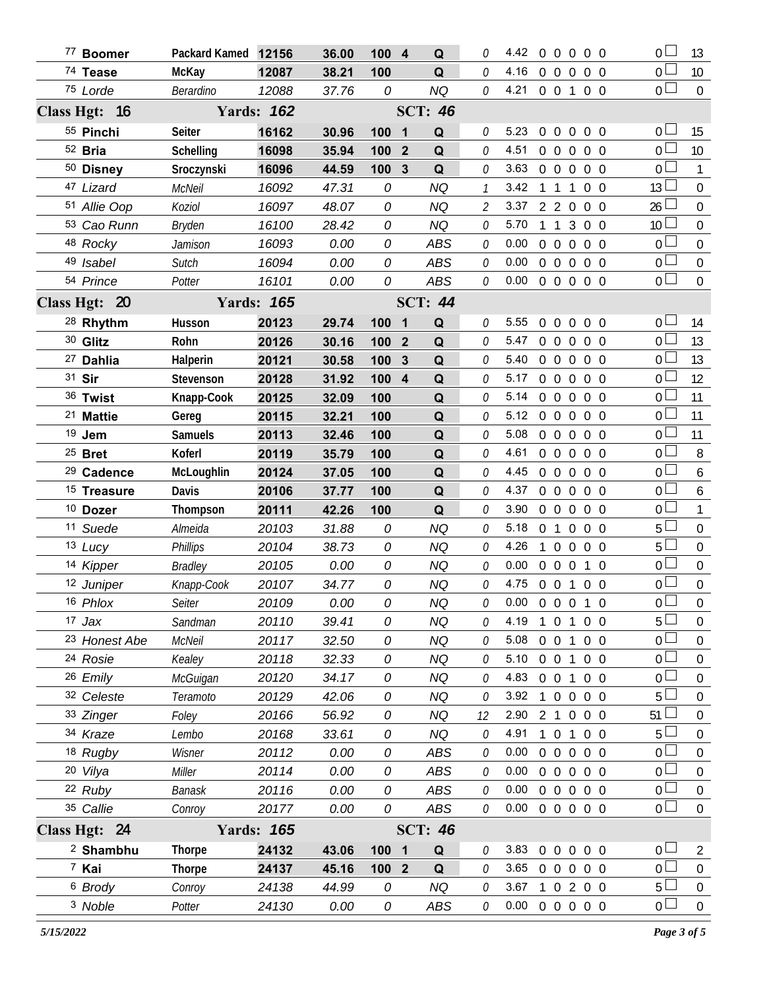| 77 Boomer              | Packard Kamed 12156 |                   | 36.00 | 100 4            | Q                            |                | 4.42 0 0 0 0 0             |              |                     |                |                | 0 <sub>1</sub>                   | 13               |
|------------------------|---------------------|-------------------|-------|------------------|------------------------------|----------------|----------------------------|--------------|---------------------|----------------|----------------|----------------------------------|------------------|
| 74 Tease               | McKay               | 12087             | 38.21 | 100              | Q                            | 0              | 4.16                       |              |                     | 00000          |                | 0 <sub>0</sub>                   | 10               |
| 75 Lorde               | Berardino           | 12088             | 37.76 | 0                | NQ                           | 0              | 4.21                       |              |                     | 0 0 1 0 0      |                | 0 <sub>0</sub>                   | $\boldsymbol{0}$ |
| Class Hgt: 16          |                     | <b>Yards: 162</b> |       |                  | <b>SCT: 46</b>               |                |                            |              |                     |                |                |                                  |                  |
| 55 Pinchi              | Seiter              | 16162             | 30.96 | 100 1            | Q                            | 0              | 5.23                       |              |                     | 00000          |                | 0 <sub>0</sub>                   | 15               |
| <sup>52</sup> Bria     | Schelling           | 16098             | 35.94 | 100              | $\overline{2}$<br>Q          | 0              | 4.51                       |              | $0\quad 0$          | $\overline{0}$ | $0\quad 0$     | 0 L                              | 10               |
| 50 Disney              | Sroczynski          | 16096             | 44.59 | 100              | $\overline{3}$<br>Q          | 0              | 3.63                       |              | $0\quad 0\quad 0$   |                | $0\quad 0$     | 0 <sub>0</sub>                   | $\mathbf{1}$     |
| 47 Lizard              | McNeil              | 16092             | 47.31 | 0                | <b>NQ</b>                    |                | 3.42                       | $\mathbf{1}$ | $1\quad1$           |                | $0\quad 0$     | 13L                              | $\mathbf 0$      |
| 51 Allie Oop           | Koziol              | 16097             | 48.07 | 0                | <b>NQ</b>                    | $\overline{2}$ | 3.37                       |              | 220                 |                | $0\quad 0$     | 26                               | $\boldsymbol{0}$ |
| 53 Cao Runn            | <b>Bryden</b>       | 16100             | 28.42 | 0                | <b>NQ</b>                    | 0              | 5.70                       | $\mathbf{1}$ |                     | 1300           |                | 10 <sup>L</sup>                  | $\boldsymbol{0}$ |
| 48 Rocky               | Jamison             | 16093             | 0.00  | 0                | <b>ABS</b>                   | 0              | 0.00                       |              | $0\quad 0$          | $\overline{0}$ | $0\quad 0$     | 0 <sup>L</sup>                   | $\boldsymbol{0}$ |
| 49 Isabel              | Sutch               | 16094             | 0.00  | 0                | ABS                          | 0              | 0.00                       |              |                     | 0 0 0 0 0      |                | 0 <sup>2</sup>                   | $\boldsymbol{0}$ |
| 54 Prince              | Potter              | 16101             | 0.00  | 0                | ABS                          | 0              | 0.00                       |              |                     | 0 0 0 0 0      |                | $\overline{0}$                   | $\boldsymbol{0}$ |
| Class Hgt: 20          |                     | <b>Yards: 165</b> |       |                  | <b>SCT: 44</b>               |                |                            |              |                     |                |                |                                  |                  |
| <sup>28</sup> Rhythm   | Husson              | 20123             | 29.74 | 100 1            | Q                            | 0              | 5.55                       |              |                     | 0 0 0 0 0      |                | 0 L                              | 14               |
| 30 Glitz               | Rohn                | 20126             | 30.16 | 100              | Q<br>$\overline{\mathbf{2}}$ | 0              | 5.47                       |              | $0\quad 0$          | $\overline{0}$ | $0\quad 0$     | $0\perp$                         | 13               |
| <sup>27</sup> Dahlia   | Halperin            | 20121             | 30.58 | 100              | Q<br>3                       | 0              | 5.40                       |              | $0\quad 0\quad 0$   |                | 0 <sub>0</sub> | 0 <sup>1</sup>                   | 13               |
| 31 Sir                 | Stevenson           | 20128             | 31.92 | 100 4            | Q                            | 0              | 5.17                       |              | $0\quad 0$          | $\overline{0}$ | $0\quad 0$     | 0 l                              | 12               |
| 36 Twist               | Knapp-Cook          | 20125             | 32.09 | 100              | Q                            | 0              | 5.14                       |              | $0 \quad 0 \quad 0$ |                | 0 <sub>0</sub> | 0 <sup>L</sup>                   | 11               |
| <sup>21</sup> Mattie   | Gereg               | 20115             | 32.21 | 100              | Q                            | 0              | 5.12                       |              | $0\quad 0\quad 0$   |                | $0\quad 0$     | 0 L                              | 11               |
| $19$ Jem               | <b>Samuels</b>      | 20113             | 32.46 | 100              | Q                            | 0              | 5.08                       |              | $0\quad 0\quad 0$   |                | $0\quad 0$     | 0 l                              | 11               |
| $25$ Bret              | Koferl              | 20119             | 35.79 | 100              | Q                            | 0              | 4.61                       |              | $0\quad 0$          | $\overline{0}$ | $0\quad 0$     | 0 <sub>0</sub>                   | 8                |
| <sup>29</sup> Cadence  | McLoughlin          | 20124             | 37.05 | 100              | Q                            | 0              | 4.45                       |              | $0\quad 0\quad 0$   |                | $0\quad 0$     | 0 <sub>0</sub>                   | $\boldsymbol{6}$ |
| <sup>15</sup> Treasure | Davis               | 20106             | 37.77 | 100              | Q                            | 0              | 4.37                       |              | $0\quad 0$          | $\overline{0}$ | $0\quad 0$     | 0 <sub>0</sub>                   | 6                |
| <sup>10</sup> Dozer    | Thompson            | 20111             | 42.26 | 100              | Q                            | 0              | 3.90                       |              | $0\quad 0$          | $\mathbf{0}$   | $0\quad 0$     | 0 <sub>0</sub>                   | $\mathbf{1}$     |
| 11 Suede               | Almeida             | 20103             | 31.88 | 0                | <b>NQ</b>                    | 0              | 5.18                       |              | 0 <sub>1</sub>      | $\overline{0}$ | $0\quad 0$     | 5 <sup>L</sup>                   | $\boldsymbol{0}$ |
| 13 Lucy                | <b>Phillips</b>     | 20104             | 38.73 | 0                | NQ                           | 0              | 4.26                       |              | 0 <sub>0</sub>      |                | $0\quad 0$     | 5 <sup>1</sup>                   | $\mathbf 0$      |
| 14 Kipper              | <b>Bradley</b>      | 20105             | 0.00  | 0                | <b>NQ</b>                    | 0              | 0.00                       |              | $0\quad 0\quad 0$   |                | $1\quad0$      | 0 <sub>0</sub>                   | $\mathbf 0$      |
| 12 Juniper             | Knapp-Cook          | 20107             | 34.77 | 0                | <b>NQ</b>                    | 0              | 4.75                       |              |                     | 0 0 1 0 0      |                | 0 <sup>1</sup>                   | $\boldsymbol{0}$ |
| 16 Phlox               | Seiter              | 20109             | 0.00  | 0                | NQ                           | 0              | $0.00 \t0 \t0 \t0 \t1 \t0$ |              |                     |                |                | 0 <sub>0</sub>                   | $\boldsymbol{0}$ |
| $17$ Jax               | Sandman             | 20110             | 39.41 | 0                | NQ.                          |                | 4.19                       | 1            |                     | 0 1 0 0        |                | 5 <sup>1</sup>                   | 0                |
| 23 Honest Abe          | McNeil              | 20117             | 32.50 | 0                | <b>NQ</b>                    | 0              | 5.08 0 0 1 0 0             |              |                     |                |                | 0 <sup>1</sup>                   | 0                |
| <sup>24</sup> Rosie    | Kealey              | 20118             | 32.33 | 0                | <b>NQ</b>                    | 0              | 5.10                       |              |                     | 0 0 1 0 0      |                | $\overline{0}$                   | 0                |
| 26 Emily               | McGuigan            | 20120             | 34.17 | 0                | <b>NQ</b>                    | 0              | 4.83                       |              |                     | 0 0 1 0 0      |                | 0 <sup>1</sup>                   | 0                |
| 32 Celeste             | Teramoto            | 20129             | 42.06 | 0                | NQ                           | 0              | 3.92                       |              |                     | 1 0 0 0 0      |                | 5                                | 0                |
| 33 Zinger              | Foley               | 20166             | 56.92 | 0                | <b>NQ</b>                    | 12             | 2.90 2 1 0 0 0             |              |                     |                |                | 51                               | 0                |
| 34 Kraze               | Lembo               | 20168             | 33.61 | 0                | <b>NQ</b>                    | 0              | 4.91                       |              |                     | 1 0 1 0 0      |                | 5 <sup>1</sup>                   | 0                |
| 18 Rugby               | Wisner              | 20112             | 0.00  | 0                | ABS                          | 0              | 0.00                       |              |                     | 0 0 0 0 0      |                | 0 <sup>1</sup>                   | 0                |
| 20 Vilya               | Miller              | 20114             | 0.00  | 0                | ABS                          | 0              | 0.00                       |              |                     | 0 0 0 0 0      |                | 0 <sub>0</sub>                   | $\overline{0}$   |
| 22 Ruby                | <b>Banask</b>       | 20116             | 0.00  | 0                | ABS                          | 0              | 0.00                       |              |                     | 0 0 0 0 0      |                | 0 <sub>0</sub><br>$\overline{0}$ | $\mathbf 0$      |
| 35 Callie              | Conroy              | 20177             | 0.00  | 0                | ABS                          | 0              | 0.00                       |              |                     | 0 0 0 0 0      |                |                                  | $\mathbf 0$      |
| Class Hgt: 24          |                     | <b>Yards: 165</b> |       |                  | <b>SCT: 46</b>               |                |                            |              |                     |                |                |                                  |                  |
| <sup>2</sup> Shambhu   | <b>Thorpe</b>       | 24132             | 43.06 | 100 1            | Q                            | 0              | 3.83                       |              |                     | 0 0 0 0 0      |                | 0 <sup>1</sup>                   | $\overline{2}$   |
| 7 Kai                  | <b>Thorpe</b>       | 24137             | 45.16 | 100 <sub>2</sub> | Q                            | 0              | 3.65 0 0 0 0 0             |              |                     |                |                | 0 <sub>0</sub>                   | $\mathbf 0$      |
| <sup>6</sup> Brody     | Conroy              | 24138             | 44.99 | 0                | <b>NQ</b>                    | 0              | 3.67                       |              |                     | 10200          |                | 5 <sup>1</sup>                   | $\mathbf 0$      |
| 3 Noble                | Potter              | 24130             | 0.00  | 0                | ABS                          | 0              | $0.00 \t0 \t0 \t0 \t0 \t0$ |              |                     |                |                | 0 <sub>0</sub>                   | $\boldsymbol{0}$ |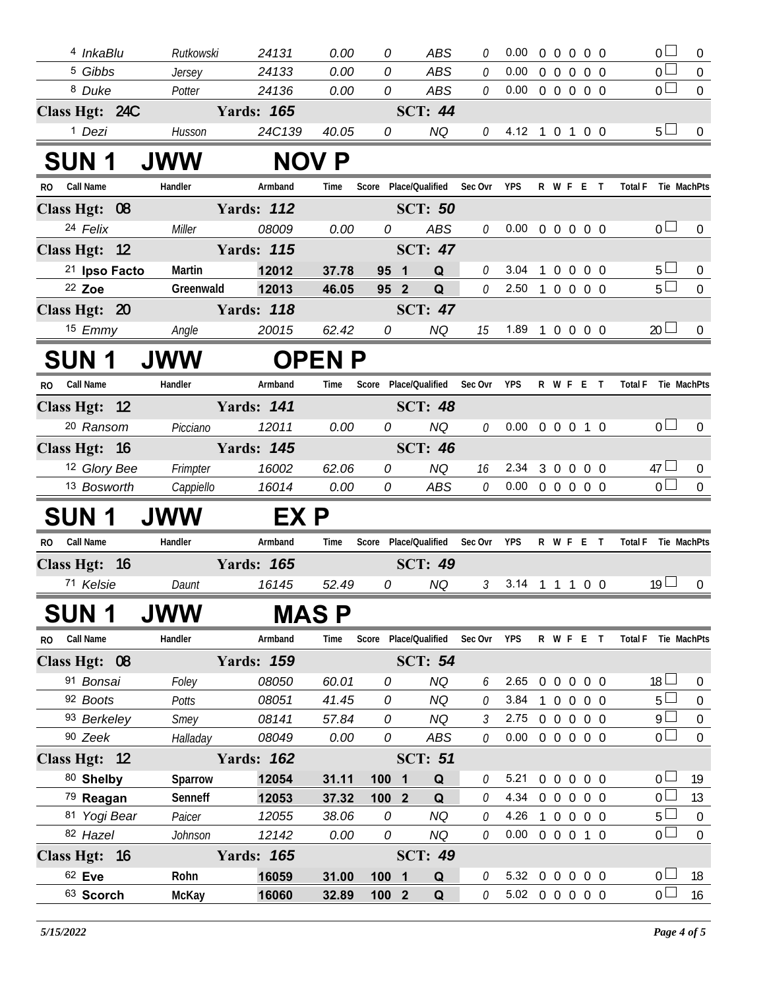| 4 InkaBlu               |                  | 24131             | 0.00          | 0                | <b>ABS</b>                        |        | 0.00                       | $\Omega$<br>$\overline{0}$  |                                     | $00$ 0                       | $\overline{0}$      | $\overline{0}$   |
|-------------------------|------------------|-------------------|---------------|------------------|-----------------------------------|--------|----------------------------|-----------------------------|-------------------------------------|------------------------------|---------------------|------------------|
| <sup>5</sup> Gibbs      | Rutkowski        | 24133             | 0.00          | 0                | <b>ABS</b>                        | 0      | 0.00                       |                             |                                     |                              | $\overline{0}$      | $\mathbf 0$      |
| <sup>8</sup> Duke       | Jersey<br>Potter | 24136             | 0.00          | 0                | ABS                               | 0<br>0 | 0.00                       | $0\quad 0$                  | $\overline{0}$<br>$0\quad 0\quad 0$ | $0\quad 0$<br>0 <sub>0</sub> | $\overline{0}$      | $\mathbf{0}$     |
| Class Hgt: 24C          |                  | <b>Yards: 165</b> |               |                  | <b>SCT: 44</b>                    |        |                            |                             |                                     |                              |                     |                  |
| <sup>1</sup> Dezi       | Husson           | 24C139            | 40.05         | 0                | <b>NQ</b>                         | 0      | 4.12 1 0 1 0 0             |                             |                                     |                              | $5 \Box$            | $\mathbf 0$      |
|                         |                  |                   |               |                  |                                   |        |                            |                             |                                     |                              |                     |                  |
| <b>SUN 1</b>            | <b>JWW</b>       |                   | <b>NOV P</b>  |                  |                                   |        |                            |                             |                                     |                              |                     |                  |
| <b>Call Name</b><br>RO. | Handler          | Armband           | Time          |                  | Score Place/Qualified Sec Ovr YPS |        |                            |                             | R W F E T                           |                              | Total F Tie MachPts |                  |
| Class Hgt: 08           |                  | <b>Yards: 112</b> |               |                  | <b>SCT: 50</b>                    |        |                            |                             |                                     |                              |                     |                  |
| 24 Felix                | Miller           | 08009             | 0.00          | 0                | <b>ABS</b>                        | 0      | 0.00                       |                             | 0 0 0 0 0                           |                              | 0 <sub>l</sub>      | $\overline{0}$   |
| Class Hgt: 12           |                  | <b>Yards: 115</b> |               |                  | <b>SCT: 47</b>                    |        |                            |                             |                                     |                              |                     |                  |
| 21 Ipso Facto           | Martin           | 12012             | 37.78         | 95               | Q<br>$\blacksquare$               | 0      | 3.04                       | $\mathbf{1}$<br>$\mathbf 0$ | $\overline{0}$                      | $0\quad 0$                   | $5 \Box$            | $\overline{0}$   |
| 22 Zoe                  | Greenwald        | 12013             | 46.05         | 95 2             | Q                                 | 0      | 2.50 1 0 0 0 0             |                             |                                     |                              | $5\Box$             | $\overline{0}$   |
| Class Hgt: 20           |                  | <b>Yards: 118</b> |               |                  | <b>SCT: 47</b>                    |        |                            |                             |                                     |                              |                     |                  |
| 15 Emmy                 | Angle            | 20015             | 62.42         | 0                | <b>NQ</b>                         | 15     | 1.89 1 0 0 0 0             |                             |                                     |                              | 20 <sup>1</sup>     | $\mathbf{0}$     |
| <b>SUN 1</b>            | <b>JWW</b>       |                   | <b>OPEN P</b> |                  |                                   |        |                            |                             |                                     |                              |                     |                  |
| RO Call Name            | Handler          | Armband           | Time          |                  | Score Place/Qualified Sec Ovr     |        | <b>YPS</b>                 |                             | R W F E T                           |                              | Total F Tie MachPts |                  |
| Class Hgt: 12           |                  | <b>Yards: 141</b> |               |                  | <b>SCT: 48</b>                    |        |                            |                             |                                     |                              |                     |                  |
| <sup>20</sup> Ransom    | Picciano         | 12011             | 0.00          | 0                | <b>NQ</b>                         | 0      | $0.00 \t0 \t0 \t0 \t1 \t0$ |                             |                                     |                              | 0 <sub>0</sub>      | $\overline{0}$   |
| Class Hgt: 16           |                  | <b>Yards: 145</b> |               |                  | <b>SCT: 46</b>                    |        |                            |                             |                                     |                              |                     |                  |
| 12 Glory Bee            | Frimpter         | 16002             | 62.06         | 0                | <b>NQ</b>                         | 16     | 2.34                       | $3\quad0$                   | $\overline{0}$                      | $0\quad 0$                   | $47 \Box$           | $\overline{0}$   |
| 13 Bosworth             | Cappiello        | 16014             | 0.00          | 0                | ABS                               | 0      | $0.00 \t0 \t0 \t0 \t0 \t0$ |                             |                                     |                              | $\overline{0}$      | $\mathbf 0$      |
| SUN 1                   | <b>JWW</b>       | EX P              |               |                  |                                   |        |                            |                             |                                     |                              |                     |                  |
| <b>Call Name</b><br>RO. | Handler          | Armband           | Time          |                  | Score Place/Qualified Sec Ovr     |        | YPS                        |                             | R W F E T                           |                              | Total F Tie MachPts |                  |
| Class Hgt: 16           |                  | <b>Yards: 165</b> |               |                  | <b>SCT: 49</b>                    |        |                            |                             |                                     |                              |                     |                  |
| 71 Kelsie               | Daunt            | 16145             | 52.49         | 0                | <b>NQ</b>                         | 3      | 3.14                       |                             | 1 1 1 0 0                           |                              | 19 <sup>°</sup>     | $\mathbf{0}$     |
| SUN 1                   | <b>JWW</b>       |                   | <b>MASP</b>   |                  |                                   |        |                            |                             |                                     |                              |                     |                  |
| RO Call Name            | Handler          | Armband           | Time          |                  | Score Place/Qualified Sec Ovr YPS |        |                            |                             | R W F E T                           |                              | Total F Tie MachPts |                  |
| Class Hgt: 08           |                  | <b>Yards: 159</b> |               |                  | <b>SCT: 54</b>                    |        |                            |                             |                                     |                              |                     |                  |
| 91 Bonsai               | Foley            | 08050             | 60.01         | 0                | <b>NQ</b>                         | 6      | 2.65 0 0 0 0 0             |                             |                                     |                              | $18 \Box$           | $\mathbf{0}$     |
| 92 Boots                | Potts            | 08051             | 41.45         | 0                | <b>NQ</b>                         | 0      | 3.84                       |                             | 1 0 0 0 0                           |                              | $5\Box$             | $\mathbf{0}$     |
| 93 Berkeley             | Smey             | 08141             | 57.84         | 0                | <b>NQ</b>                         | 3      | 2.75                       |                             | 0 0 0 0 0                           |                              | 9 <sub>l</sub>      | $\mathbf 0$      |
| 90 Zeek                 | Halladay         | 08049             | 0.00          | 0                | ABS                               | 0      | $0.00 \t0 \t0 \t0 \t0 \t0$ |                             |                                     |                              | $0-1$               | $\boldsymbol{0}$ |
| Class Hgt: 12           |                  | <b>Yards: 162</b> |               |                  | <b>SCT: 51</b>                    |        |                            |                             |                                     |                              |                     |                  |
| 80 Shelby               | Sparrow          | 12054             | 31.11         | 100 1            | Q                                 | 0      | 5.21                       |                             | 0 0 0 0 0                           |                              | 0 <sub>1</sub>      | 19               |
| 79 Reagan               | Senneff          | 12053             | 37.32         | 100 <sub>2</sub> | Q                                 | 0      | 4.34                       |                             | 0 0 0 0 0                           |                              | 0 <sup>1</sup>      | 13               |
| 81 Yogi Bear            | Paicer           | 12055             | 38.06         | 0                | <b>NQ</b>                         | 0      | 4.26                       |                             | 1 0 0 0 0                           |                              | $5 \Box$            | $\mathbf 0$      |
| 82 Hazel                | Johnson          | 12142             | 0.00          | 0                | <b>NQ</b>                         | 0      | $0.00 \t0 \t0 \t0 \t1 \t0$ |                             |                                     |                              | $\overline{0}$      | $\overline{0}$   |
| Class Hgt: 16           |                  | <b>Yards: 165</b> |               |                  | <b>SCT: 49</b>                    |        |                            |                             |                                     |                              |                     |                  |
| 62 Eve                  | Rohn             | 16059             | 31.00         | 100 1            | $\mathbf Q$                       | 0      | 5.32 0 0 0 0 0             |                             |                                     |                              | 0 <sub>1</sub>      | 18               |
| 63 Scorch               | <b>McKay</b>     | 16060             | 32.89         | 100 2            | Q                                 | 0      | 5.02 0 0 0 0 0             |                             |                                     |                              | 0 <sub>1</sub>      | 16               |